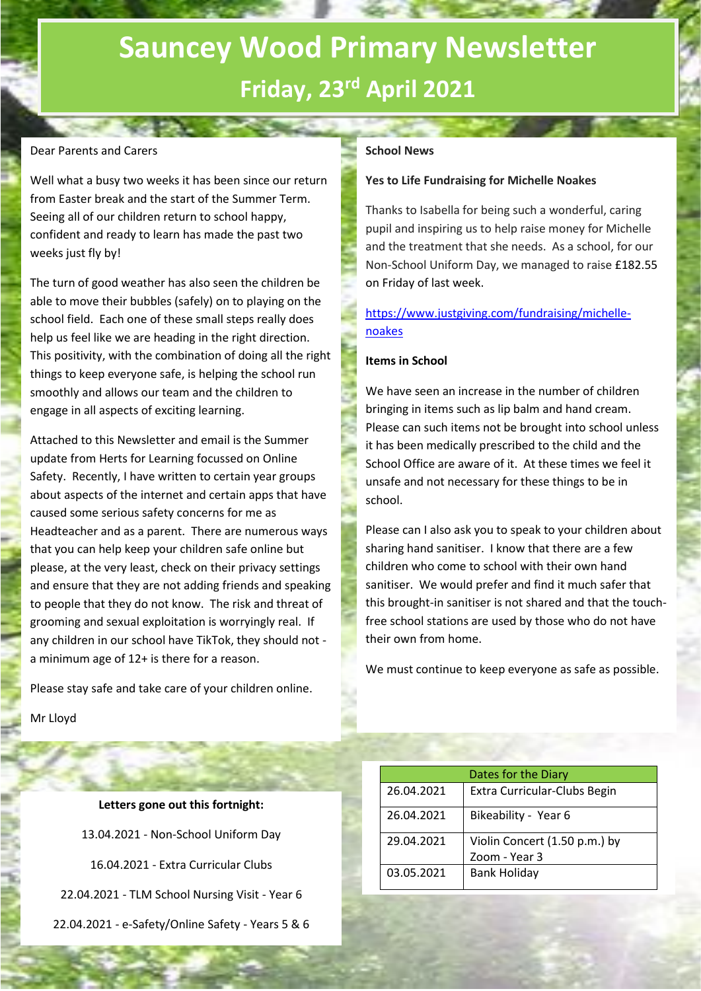# **Sauncey Wood Primary Newsletter Friday, 23rd April 2021**

## Dear Parents and Carers

Well what a busy two weeks it has been since our return from Easter break and the start of the Summer Term. Seeing all of our children return to school happy, confident and ready to learn has made the past two weeks just fly by!

94. S

The turn of good weather has also seen the children be able to move their bubbles (safely) on to playing on the school field. Each one of these small steps really does help us feel like we are heading in the right direction. This positivity, with the combination of doing all the right things to keep everyone safe, is helping the school run smoothly and allows our team and the children to engage in all aspects of exciting learning.

Attached to this Newsletter and email is the Summer update from Herts for Learning focussed on Online Safety. Recently, I have written to certain year groups about aspects of the internet and certain apps that have caused some serious safety concerns for me as Headteacher and as a parent. There are numerous ways that you can help keep your children safe online but please, at the very least, check on their privacy settings and ensure that they are not adding friends and speaking to people that they do not know. The risk and threat of grooming and sexual exploitation is worryingly real. If any children in our school have TikTok, they should not a minimum age of 12+ is there for a reason.

Please stay safe and take care of your children online.

Mr Lloyd

## **School News**

#### **Yes to Life Fundraising for Michelle Noakes**

Thanks to Isabella for being such a wonderful, caring pupil and inspiring us to help raise money for Michelle and the treatment that she needs. As a school, for our Non-School Uniform Day, we managed to raise £182.55 on Friday of last week.

# [https://www.justgiving.com/fundraising/michelle](https://www.justgiving.com/fundraising/michelle-noakes)[noakes](https://www.justgiving.com/fundraising/michelle-noakes)

### **Items in School**

We have seen an increase in the number of children bringing in items such as lip balm and hand cream. Please can such items not be brought into school unless it has been medically prescribed to the child and the School Office are aware of it. At these times we feel it unsafe and not necessary for these things to be in school.

Please can I also ask you to speak to your children about sharing hand sanitiser. I know that there are a few children who come to school with their own hand sanitiser. We would prefer and find it much safer that this brought-in sanitiser is not shared and that the touchfree school stations are used by those who do not have their own from home.

We must continue to keep everyone as safe as possible.

**Letters gone out this fortnight:** 13.04.2021 - Non-School Uniform Day 16.04.2021 - Extra Curricular Clubs 22.04.2021 - TLM School Nursing Visit - Year 6 22.04.2021 - e-Safety/Online Safety - Years 5 & 6

| Dates for the Diary |                               |
|---------------------|-------------------------------|
| 26.04.2021          | Extra Curricular-Clubs Begin  |
| 26.04.2021          | Bikeability - Year 6          |
| 29.04.2021          | Violin Concert (1.50 p.m.) by |
|                     | Zoom - Year 3                 |
| 03.05.2021          | <b>Bank Holiday</b>           |